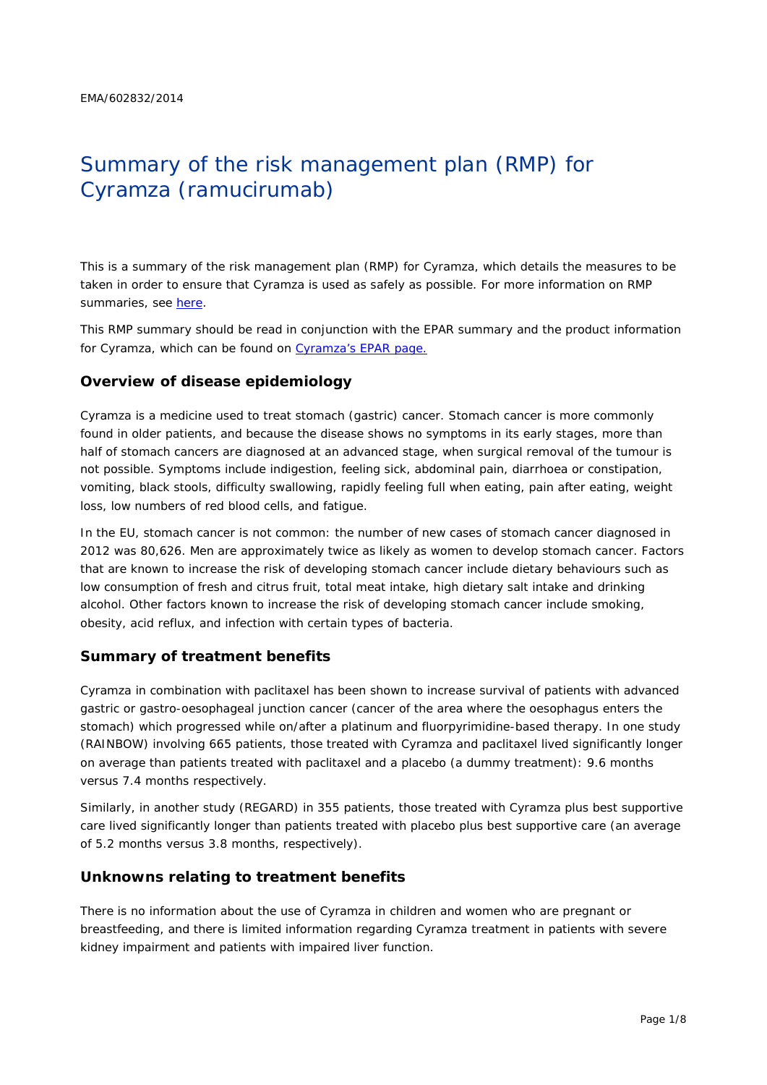# Summary of the risk management plan (RMP) for Cyramza (ramucirumab)

This is a summary of the risk management plan (RMP) for Cyramza, which details the measures to be taken in order to ensure that Cyramza is used as safely as possible. For more information on RMP summaries, see [here.](http://www.ema.europa.eu/docs/en_GB/document_library/Other/2014/05/WC500166101.pdf)

This RMP summary should be read in conjunction with the EPAR summary and the product information for Cyramza, which can be found on Cyramza's [EPAR page.](http://www.ema.europa.eu/ema/index.jsp?curl=/pages/medicines/human/medicines/002829/human_med_001825.jsp)

#### **Overview of disease epidemiology**

Cyramza is a medicine used to treat stomach (gastric) cancer. Stomach cancer is more commonly found in older patients, and because the disease shows no symptoms in its early stages, more than half of stomach cancers are diagnosed at an advanced stage, when surgical removal of the tumour is not possible. Symptoms include indigestion, feeling sick, abdominal pain, diarrhoea or constipation, vomiting, black stools, difficulty swallowing, rapidly feeling full when eating, pain after eating, weight loss, low numbers of red blood cells, and fatigue.

In the EU, stomach cancer is not common: the number of new cases of stomach cancer diagnosed in 2012 was 80,626. Men are approximately twice as likely as women to develop stomach cancer. Factors that are known to increase the risk of developing stomach cancer include dietary behaviours such as low consumption of fresh and citrus fruit, total meat intake, high dietary salt intake and drinking alcohol. Other factors known to increase the risk of developing stomach cancer include smoking, obesity, acid reflux, and infection with certain types of bacteria.

#### **Summary of treatment benefits**

Cyramza in combination with paclitaxel has been shown to increase survival of patients with advanced gastric or gastro-oesophageal junction cancer (cancer of the area where the oesophagus enters the stomach) which progressed while on/after a platinum and fluorpyrimidine-based therapy. In one study (RAINBOW) involving 665 patients, those treated with Cyramza and paclitaxel lived significantly longer on average than patients treated with paclitaxel and a placebo (a dummy treatment): 9.6 months versus 7.4 months respectively.

Similarly, in another study (REGARD) in 355 patients, those treated with Cyramza plus best supportive care lived significantly longer than patients treated with placebo plus best supportive care (an average of 5.2 months versus 3.8 months, respectively).

## **Unknowns relating to treatment benefits**

There is no information about the use of Cyramza in children and women who are pregnant or breastfeeding, and there is limited information regarding Cyramza treatment in patients with severe kidney impairment and patients with impaired liver function.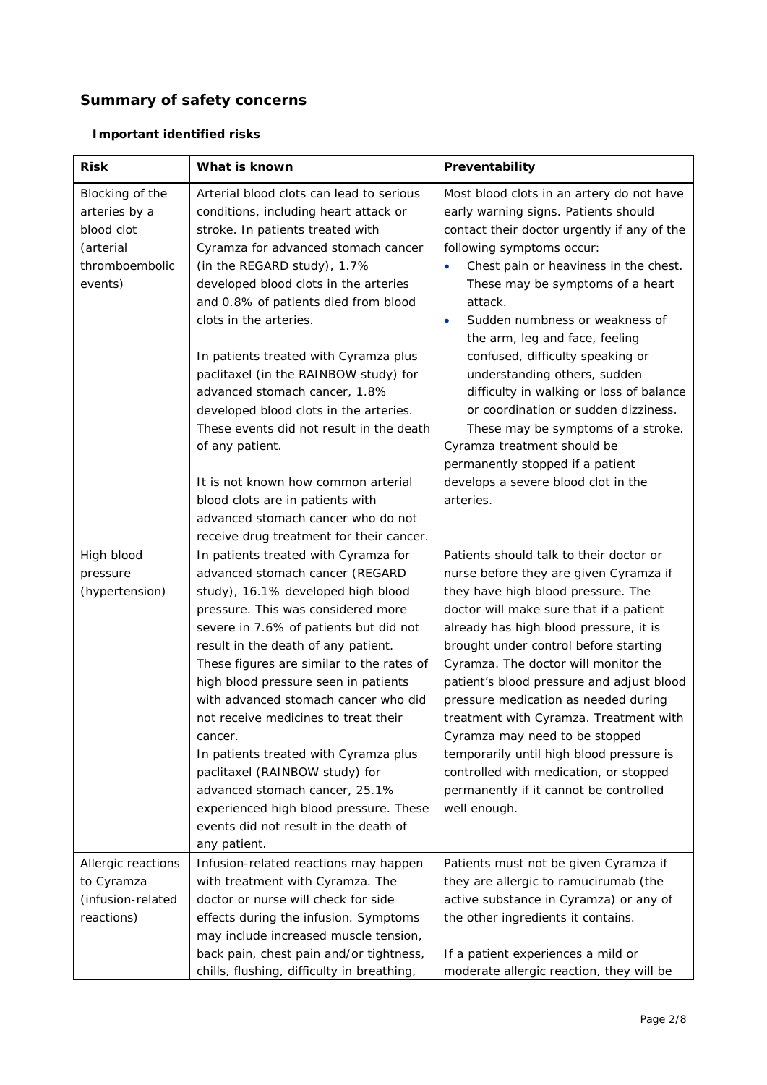# **Summary of safety concerns**

# *Important identified risks*

| <b>Risk</b>                                                                              | What is known                                                                                                                                                                                                                                                                                                                                                                                                                                                                                                                                                                                                                        | Preventability                                                                                                                                                                                                                                                                                                                                                                                                                                                                                                                                                                                                                                              |  |  |
|------------------------------------------------------------------------------------------|--------------------------------------------------------------------------------------------------------------------------------------------------------------------------------------------------------------------------------------------------------------------------------------------------------------------------------------------------------------------------------------------------------------------------------------------------------------------------------------------------------------------------------------------------------------------------------------------------------------------------------------|-------------------------------------------------------------------------------------------------------------------------------------------------------------------------------------------------------------------------------------------------------------------------------------------------------------------------------------------------------------------------------------------------------------------------------------------------------------------------------------------------------------------------------------------------------------------------------------------------------------------------------------------------------------|--|--|
| Blocking of the<br>arteries by a<br>blood clot<br>(arterial<br>thromboembolic<br>events) | Arterial blood clots can lead to serious<br>conditions, including heart attack or<br>stroke. In patients treated with<br>Cyramza for advanced stomach cancer<br>(in the REGARD study), 1.7%<br>developed blood clots in the arteries<br>and 0.8% of patients died from blood<br>clots in the arteries.<br>In patients treated with Cyramza plus<br>paclitaxel (in the RAINBOW study) for<br>advanced stomach cancer, 1.8%<br>developed blood clots in the arteries.<br>These events did not result in the death<br>of any patient.<br>It is not known how common arterial<br>blood clots are in patients with                        | Most blood clots in an artery do not have<br>early warning signs. Patients should<br>contact their doctor urgently if any of the<br>following symptoms occur:<br>Chest pain or heaviness in the chest.<br>These may be symptoms of a heart<br>attack.<br>Sudden numbness or weakness of<br>$\bullet$<br>the arm, leg and face, feeling<br>confused, difficulty speaking or<br>understanding others, sudden<br>difficulty in walking or loss of balance<br>or coordination or sudden dizziness.<br>These may be symptoms of a stroke.<br>Cyramza treatment should be<br>permanently stopped if a patient<br>develops a severe blood clot in the<br>arteries. |  |  |
|                                                                                          | advanced stomach cancer who do not<br>receive drug treatment for their cancer.                                                                                                                                                                                                                                                                                                                                                                                                                                                                                                                                                       |                                                                                                                                                                                                                                                                                                                                                                                                                                                                                                                                                                                                                                                             |  |  |
| High blood<br>pressure<br>(hypertension)                                                 | In patients treated with Cyramza for<br>advanced stomach cancer (REGARD<br>study), 16.1% developed high blood<br>pressure. This was considered more<br>severe in 7.6% of patients but did not<br>result in the death of any patient.<br>These figures are similar to the rates of<br>high blood pressure seen in patients<br>with advanced stomach cancer who did<br>not receive medicines to treat their<br>cancer.<br>In patients treated with Cyramza plus<br>paclitaxel (RAINBOW study) for<br>advanced stomach cancer, 25.1%<br>experienced high blood pressure. These<br>events did not result in the death of<br>any patient. | Patients should talk to their doctor or<br>nurse before they are given Cyramza if<br>they have high blood pressure. The<br>doctor will make sure that if a patient<br>already has high blood pressure, it is<br>brought under control before starting<br>Cyramza. The doctor will monitor the<br>patient's blood pressure and adjust blood<br>pressure medication as needed during<br>treatment with Cyramza. Treatment with<br>Cyramza may need to be stopped<br>temporarily until high blood pressure is<br>controlled with medication, or stopped<br>permanently if it cannot be controlled<br>well enough.                                              |  |  |
| Allergic reactions<br>to Cyramza<br>(infusion-related<br>reactions)                      | Infusion-related reactions may happen<br>with treatment with Cyramza. The<br>doctor or nurse will check for side<br>effects during the infusion. Symptoms<br>may include increased muscle tension,<br>back pain, chest pain and/or tightness,<br>chills, flushing, difficulty in breathing,                                                                                                                                                                                                                                                                                                                                          | Patients must not be given Cyramza if<br>they are allergic to ramucirumab (the<br>active substance in Cyramza) or any of<br>the other ingredients it contains.<br>If a patient experiences a mild or<br>moderate allergic reaction, they will be                                                                                                                                                                                                                                                                                                                                                                                                            |  |  |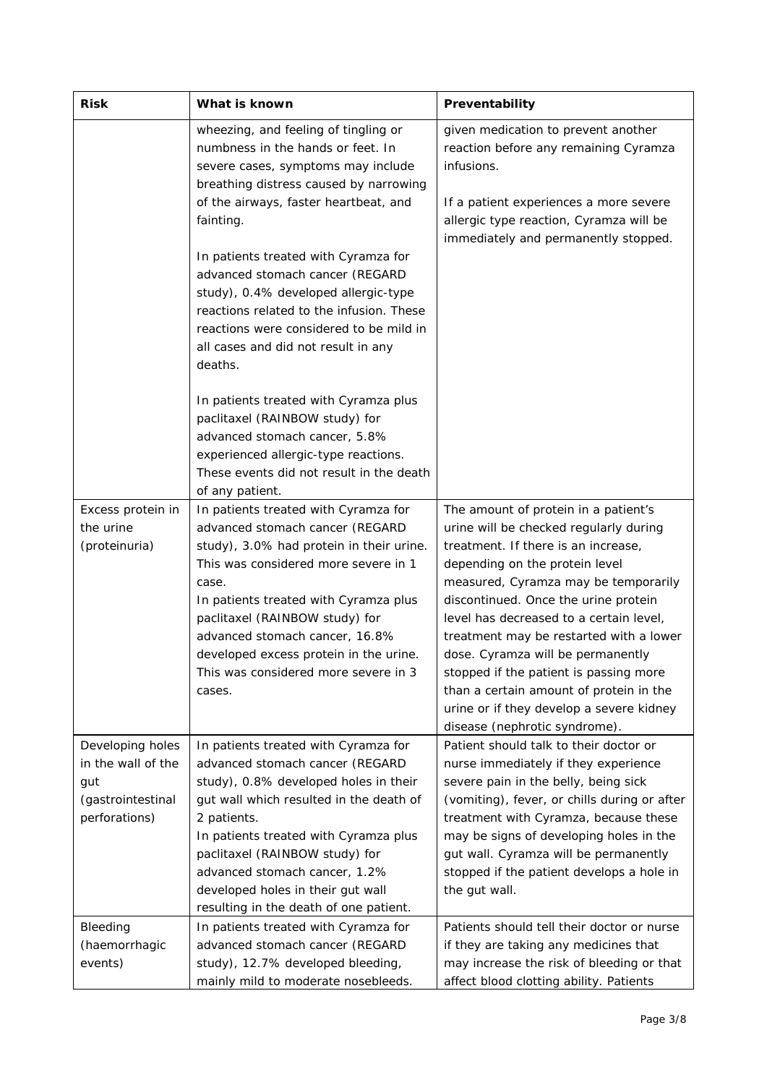| <b>Risk</b>                                                                         | What is known                                                                                                                                                                                                                                                                                                                                                                 | Preventability                                                                                                                                                                                                                                                                                                                                                                                                                                                                                                                       |  |
|-------------------------------------------------------------------------------------|-------------------------------------------------------------------------------------------------------------------------------------------------------------------------------------------------------------------------------------------------------------------------------------------------------------------------------------------------------------------------------|--------------------------------------------------------------------------------------------------------------------------------------------------------------------------------------------------------------------------------------------------------------------------------------------------------------------------------------------------------------------------------------------------------------------------------------------------------------------------------------------------------------------------------------|--|
|                                                                                     | wheezing, and feeling of tingling or<br>numbness in the hands or feet. In<br>severe cases, symptoms may include<br>breathing distress caused by narrowing<br>of the airways, faster heartbeat, and<br>fainting.                                                                                                                                                               | given medication to prevent another<br>reaction before any remaining Cyramza<br>infusions.<br>If a patient experiences a more severe<br>allergic type reaction, Cyramza will be                                                                                                                                                                                                                                                                                                                                                      |  |
|                                                                                     | In patients treated with Cyramza for<br>advanced stomach cancer (REGARD<br>study), 0.4% developed allergic-type<br>reactions related to the infusion. These<br>reactions were considered to be mild in<br>all cases and did not result in any<br>deaths.                                                                                                                      | immediately and permanently stopped.                                                                                                                                                                                                                                                                                                                                                                                                                                                                                                 |  |
|                                                                                     | In patients treated with Cyramza plus<br>paclitaxel (RAINBOW study) for<br>advanced stomach cancer, 5.8%<br>experienced allergic-type reactions.<br>These events did not result in the death<br>of any patient.                                                                                                                                                               |                                                                                                                                                                                                                                                                                                                                                                                                                                                                                                                                      |  |
| Excess protein in<br>the urine<br>(proteinuria)                                     | In patients treated with Cyramza for<br>advanced stomach cancer (REGARD<br>study), 3.0% had protein in their urine.<br>This was considered more severe in 1<br>case.<br>In patients treated with Cyramza plus<br>paclitaxel (RAINBOW study) for<br>advanced stomach cancer, 16.8%<br>developed excess protein in the urine.<br>This was considered more severe in 3<br>cases. | The amount of protein in a patient's<br>urine will be checked regularly during<br>treatment. If there is an increase,<br>depending on the protein level<br>measured, Cyramza may be temporarily<br>discontinued. Once the urine protein<br>level has decreased to a certain level,<br>treatment may be restarted with a lower<br>dose. Cyramza will be permanently<br>stopped if the patient is passing more<br>than a certain amount of protein in the<br>urine or if they develop a severe kidney<br>disease (nephrotic syndrome). |  |
| Developing holes<br>in the wall of the<br>gut<br>(gastrointestinal<br>perforations) | In patients treated with Cyramza for<br>advanced stomach cancer (REGARD<br>study), 0.8% developed holes in their<br>gut wall which resulted in the death of<br>2 patients.<br>In patients treated with Cyramza plus<br>paclitaxel (RAINBOW study) for<br>advanced stomach cancer, 1.2%<br>developed holes in their gut wall<br>resulting in the death of one patient.         | Patient should talk to their doctor or<br>nurse immediately if they experience<br>severe pain in the belly, being sick<br>(vomiting), fever, or chills during or after<br>treatment with Cyramza, because these<br>may be signs of developing holes in the<br>gut wall. Cyramza will be permanently<br>stopped if the patient develops a hole in<br>the gut wall.                                                                                                                                                                    |  |
| Bleeding<br>(haemorrhagic<br>events)                                                | In patients treated with Cyramza for<br>advanced stomach cancer (REGARD<br>study), 12.7% developed bleeding,<br>mainly mild to moderate nosebleeds.                                                                                                                                                                                                                           | Patients should tell their doctor or nurse<br>if they are taking any medicines that<br>may increase the risk of bleeding or that<br>affect blood clotting ability. Patients                                                                                                                                                                                                                                                                                                                                                          |  |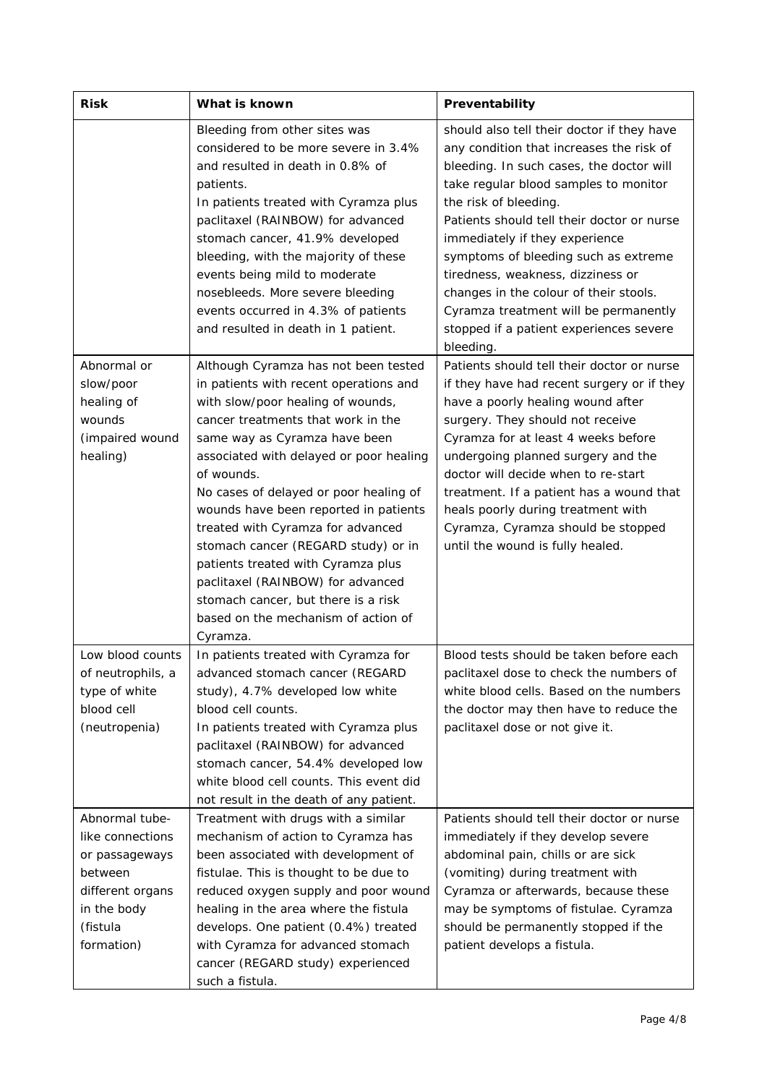| <b>Risk</b>                                                                                                                  | What is known                                                                                                                                                                                                                                                                                                                                                                                                                                                                                                                                                                           | Preventability                                                                                                                                                                                                                                                                                                                                                                                                                                                                                               |  |  |
|------------------------------------------------------------------------------------------------------------------------------|-----------------------------------------------------------------------------------------------------------------------------------------------------------------------------------------------------------------------------------------------------------------------------------------------------------------------------------------------------------------------------------------------------------------------------------------------------------------------------------------------------------------------------------------------------------------------------------------|--------------------------------------------------------------------------------------------------------------------------------------------------------------------------------------------------------------------------------------------------------------------------------------------------------------------------------------------------------------------------------------------------------------------------------------------------------------------------------------------------------------|--|--|
|                                                                                                                              | Bleeding from other sites was<br>considered to be more severe in 3.4%<br>and resulted in death in 0.8% of<br>patients.<br>In patients treated with Cyramza plus<br>paclitaxel (RAINBOW) for advanced<br>stomach cancer, 41.9% developed<br>bleeding, with the majority of these<br>events being mild to moderate<br>nosebleeds. More severe bleeding<br>events occurred in 4.3% of patients<br>and resulted in death in 1 patient.                                                                                                                                                      | should also tell their doctor if they have<br>any condition that increases the risk of<br>bleeding. In such cases, the doctor will<br>take regular blood samples to monitor<br>the risk of bleeding.<br>Patients should tell their doctor or nurse<br>immediately if they experience<br>symptoms of bleeding such as extreme<br>tiredness, weakness, dizziness or<br>changes in the colour of their stools.<br>Cyramza treatment will be permanently<br>stopped if a patient experiences severe<br>bleeding. |  |  |
| Abnormal or<br>slow/poor<br>healing of<br>wounds<br>(impaired wound<br>healing)                                              | Although Cyramza has not been tested<br>in patients with recent operations and<br>with slow/poor healing of wounds,<br>cancer treatments that work in the<br>same way as Cyramza have been<br>associated with delayed or poor healing<br>of wounds.<br>No cases of delayed or poor healing of<br>wounds have been reported in patients<br>treated with Cyramza for advanced<br>stomach cancer (REGARD study) or in<br>patients treated with Cyramza plus<br>paclitaxel (RAINBOW) for advanced<br>stomach cancer, but there is a risk<br>based on the mechanism of action of<br>Cyramza. | Patients should tell their doctor or nurse<br>if they have had recent surgery or if they<br>have a poorly healing wound after<br>surgery. They should not receive<br>Cyramza for at least 4 weeks before<br>undergoing planned surgery and the<br>doctor will decide when to re-start<br>treatment. If a patient has a wound that<br>heals poorly during treatment with<br>Cyramza, Cyramza should be stopped<br>until the wound is fully healed.                                                            |  |  |
| Low blood counts<br>of neutrophils, a<br>type of white<br>blood cell<br>(neutropenia)                                        | In patients treated with Cyramza for<br>advanced stomach cancer (REGARD<br>study), 4.7% developed low white<br>blood cell counts.<br>In patients treated with Cyramza plus<br>paclitaxel (RAINBOW) for advanced<br>stomach cancer, 54.4% developed low<br>white blood cell counts. This event did<br>not result in the death of any patient.                                                                                                                                                                                                                                            | Blood tests should be taken before each<br>paclitaxel dose to check the numbers of<br>white blood cells. Based on the numbers<br>the doctor may then have to reduce the<br>paclitaxel dose or not give it.                                                                                                                                                                                                                                                                                                   |  |  |
| Abnormal tube-<br>like connections<br>or passageways<br>between<br>different organs<br>in the body<br>(fistula<br>formation) | Treatment with drugs with a similar<br>mechanism of action to Cyramza has<br>been associated with development of<br>fistulae. This is thought to be due to<br>reduced oxygen supply and poor wound<br>healing in the area where the fistula<br>develops. One patient (0.4%) treated<br>with Cyramza for advanced stomach<br>cancer (REGARD study) experienced<br>such a fistula.                                                                                                                                                                                                        | Patients should tell their doctor or nurse<br>immediately if they develop severe<br>abdominal pain, chills or are sick<br>(vomiting) during treatment with<br>Cyramza or afterwards, because these<br>may be symptoms of fistulae. Cyramza<br>should be permanently stopped if the<br>patient develops a fistula.                                                                                                                                                                                            |  |  |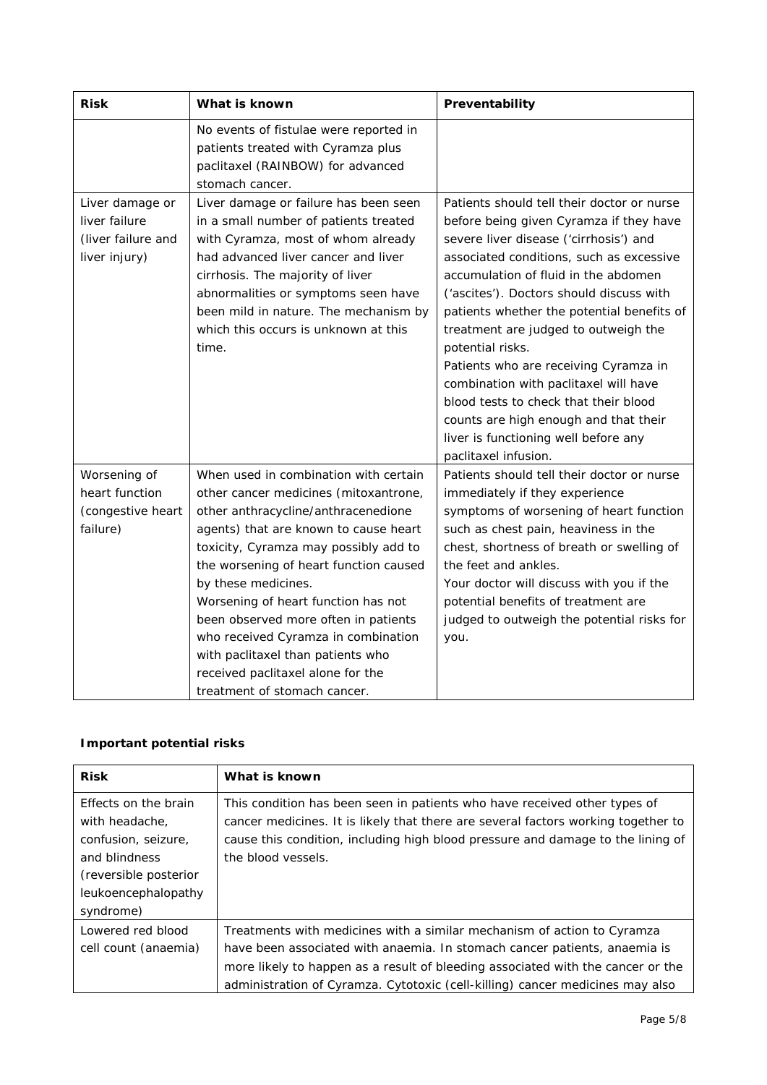| <b>Risk</b>                                                             | What is known                                                                                                                                                                                                                                                                                                                                                                                                                                                                                            | Preventability                                                                                                                                                                                                                                                                                                                                                                                                                                                                                                                                                                                                |  |  |
|-------------------------------------------------------------------------|----------------------------------------------------------------------------------------------------------------------------------------------------------------------------------------------------------------------------------------------------------------------------------------------------------------------------------------------------------------------------------------------------------------------------------------------------------------------------------------------------------|---------------------------------------------------------------------------------------------------------------------------------------------------------------------------------------------------------------------------------------------------------------------------------------------------------------------------------------------------------------------------------------------------------------------------------------------------------------------------------------------------------------------------------------------------------------------------------------------------------------|--|--|
|                                                                         | No events of fistulae were reported in<br>patients treated with Cyramza plus<br>paclitaxel (RAINBOW) for advanced<br>stomach cancer.                                                                                                                                                                                                                                                                                                                                                                     |                                                                                                                                                                                                                                                                                                                                                                                                                                                                                                                                                                                                               |  |  |
| Liver damage or<br>liver failure<br>(liver failure and<br>liver injury) | Liver damage or failure has been seen<br>in a small number of patients treated<br>with Cyramza, most of whom already<br>had advanced liver cancer and liver<br>cirrhosis. The majority of liver<br>abnormalities or symptoms seen have<br>been mild in nature. The mechanism by<br>which this occurs is unknown at this<br>time.                                                                                                                                                                         | Patients should tell their doctor or nurse<br>before being given Cyramza if they have<br>severe liver disease ('cirrhosis') and<br>associated conditions, such as excessive<br>accumulation of fluid in the abdomen<br>('ascites'). Doctors should discuss with<br>patients whether the potential benefits of<br>treatment are judged to outweigh the<br>potential risks.<br>Patients who are receiving Cyramza in<br>combination with paclitaxel will have<br>blood tests to check that their blood<br>counts are high enough and that their<br>liver is functioning well before any<br>paclitaxel infusion. |  |  |
| Worsening of<br>heart function<br>(congestive heart<br>failure)         | When used in combination with certain<br>other cancer medicines (mitoxantrone,<br>other anthracycline/anthracenedione<br>agents) that are known to cause heart<br>toxicity, Cyramza may possibly add to<br>the worsening of heart function caused<br>by these medicines.<br>Worsening of heart function has not<br>been observed more often in patients<br>who received Cyramza in combination<br>with paclitaxel than patients who<br>received paclitaxel alone for the<br>treatment of stomach cancer. | Patients should tell their doctor or nurse<br>immediately if they experience<br>symptoms of worsening of heart function<br>such as chest pain, heaviness in the<br>chest, shortness of breath or swelling of<br>the feet and ankles.<br>Your doctor will discuss with you if the<br>potential benefits of treatment are<br>judged to outweigh the potential risks for<br>you.                                                                                                                                                                                                                                 |  |  |

## *Important potential risks*

| <b>Risk</b>           | What is known                                                                     |
|-----------------------|-----------------------------------------------------------------------------------|
| Effects on the brain  | This condition has been seen in patients who have received other types of         |
| with headache,        | cancer medicines. It is likely that there are several factors working together to |
| confusion, seizure,   | cause this condition, including high blood pressure and damage to the lining of   |
| and blindness         | the blood vessels.                                                                |
| (reversible posterior |                                                                                   |
| leukoencephalopathy   |                                                                                   |
| syndrome)             |                                                                                   |
| Lowered red blood     | Treatments with medicines with a similar mechanism of action to Cyramza           |
| cell count (anaemia)  | have been associated with anaemia. In stomach cancer patients, anaemia is         |
|                       | more likely to happen as a result of bleeding associated with the cancer or the   |
|                       | administration of Cyramza. Cytotoxic (cell-killing) cancer medicines may also     |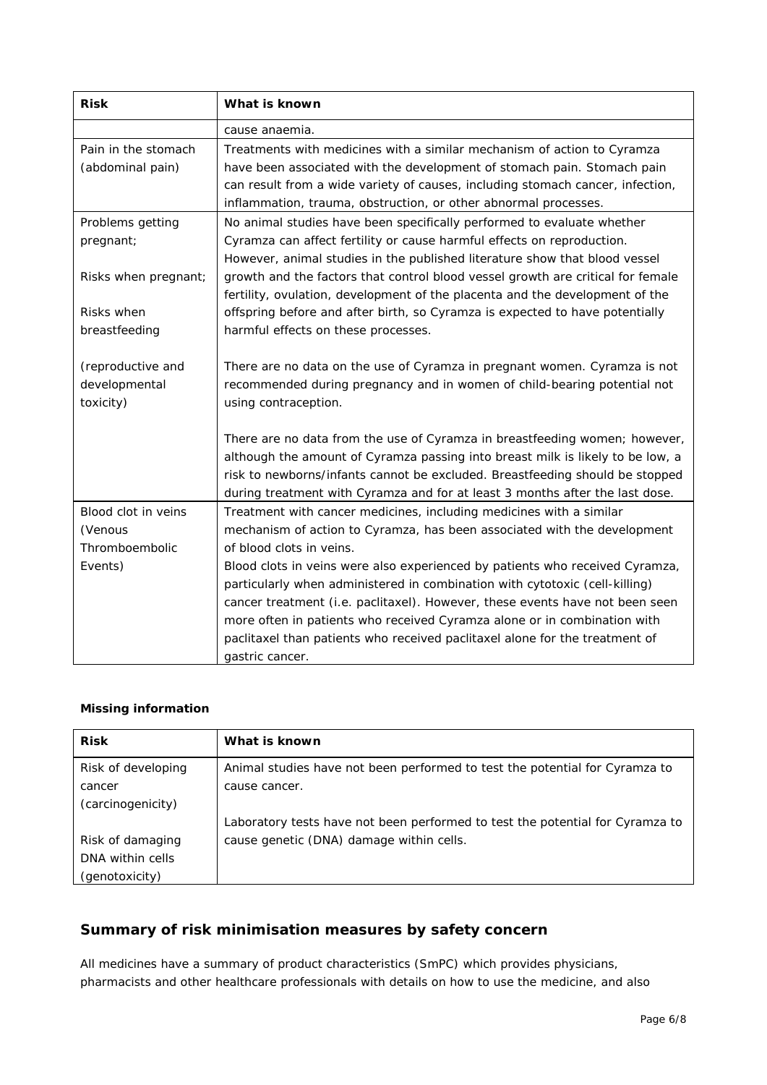| <b>Risk</b>          | What is known                                                                   |  |  |
|----------------------|---------------------------------------------------------------------------------|--|--|
|                      | cause anaemia.                                                                  |  |  |
| Pain in the stomach  | Treatments with medicines with a similar mechanism of action to Cyramza         |  |  |
| (abdominal pain)     | have been associated with the development of stomach pain. Stomach pain         |  |  |
|                      | can result from a wide variety of causes, including stomach cancer, infection,  |  |  |
|                      | inflammation, trauma, obstruction, or other abnormal processes.                 |  |  |
| Problems getting     | No animal studies have been specifically performed to evaluate whether          |  |  |
| pregnant;            | Cyramza can affect fertility or cause harmful effects on reproduction.          |  |  |
|                      | However, animal studies in the published literature show that blood vessel      |  |  |
| Risks when pregnant; | growth and the factors that control blood vessel growth are critical for female |  |  |
|                      | fertility, ovulation, development of the placenta and the development of the    |  |  |
| Risks when           | offspring before and after birth, so Cyramza is expected to have potentially    |  |  |
| breastfeeding        | harmful effects on these processes.                                             |  |  |
|                      |                                                                                 |  |  |
| (reproductive and    | There are no data on the use of Cyramza in pregnant women. Cyramza is not       |  |  |
| developmental        | recommended during pregnancy and in women of child-bearing potential not        |  |  |
| toxicity)            | using contraception.                                                            |  |  |
|                      |                                                                                 |  |  |
|                      | There are no data from the use of Cyramza in breastfeeding women; however,      |  |  |
|                      | although the amount of Cyramza passing into breast milk is likely to be low, a  |  |  |
|                      | risk to newborns/infants cannot be excluded. Breastfeeding should be stopped    |  |  |
|                      | during treatment with Cyramza and for at least 3 months after the last dose.    |  |  |
| Blood clot in veins  | Treatment with cancer medicines, including medicines with a similar             |  |  |
| (Venous              | mechanism of action to Cyramza, has been associated with the development        |  |  |
| Thromboembolic       | of blood clots in veins.                                                        |  |  |
| Events)              | Blood clots in veins were also experienced by patients who received Cyramza,    |  |  |
|                      | particularly when administered in combination with cytotoxic (cell-killing)     |  |  |
|                      | cancer treatment (i.e. paclitaxel). However, these events have not been seen    |  |  |
|                      | more often in patients who received Cyramza alone or in combination with        |  |  |
|                      | paclitaxel than patients who received paclitaxel alone for the treatment of     |  |  |
|                      | gastric cancer.                                                                 |  |  |

#### *Missing information*

| <b>Risk</b>        | What is known                                                                 |
|--------------------|-------------------------------------------------------------------------------|
| Risk of developing | Animal studies have not been performed to test the potential for Cyramza to   |
| cancer             | cause cancer.                                                                 |
| (carcinogenicity)  |                                                                               |
|                    | Laboratory tests have not been performed to test the potential for Cyramza to |
| Risk of damaging   | cause genetic (DNA) damage within cells.                                      |
| DNA within cells   |                                                                               |
| (genotoxicity)     |                                                                               |

# **Summary of risk minimisation measures by safety concern**

All medicines have a summary of product characteristics (SmPC) which provides physicians, pharmacists and other healthcare professionals with details on how to use the medicine, and also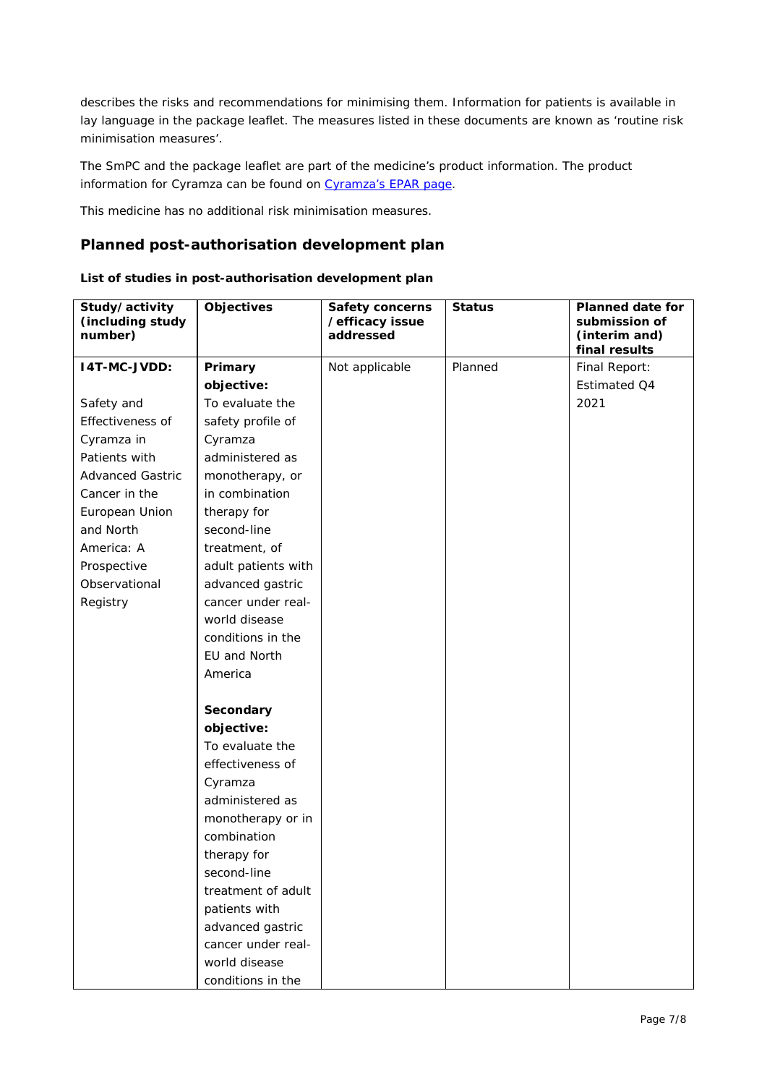describes the risks and recommendations for minimising them. Information for patients is available in lay language in the package leaflet. The measures listed in these documents are known as 'routine risk minimisation measures'.

The SmPC and the package leaflet are part of the medicine's product information. The product information for Cyramza can be found on [Cyramza's EPAR page.](http://www.ema.europa.eu/ema/index.jsp?curl=/pages/medicines/human/medicines/002829/human_med_001825.jsp)

This medicine has no additional risk minimisation measures.

#### **Planned post-authorisation development plan**

|  | List of studies in post-authorisation development plan |  |  |
|--|--------------------------------------------------------|--|--|
|  |                                                        |  |  |

| Study/activity<br>(including study<br>number) | <b>Objectives</b>   | <b>Safety concerns</b><br>/efficacy issue<br>addressed | <b>Status</b> | <b>Planned date for</b><br>submission of<br>(interim and)<br>final results |
|-----------------------------------------------|---------------------|--------------------------------------------------------|---------------|----------------------------------------------------------------------------|
| <b>I4T-MC-JVDD:</b>                           | Primary             | Not applicable                                         | Planned       | Final Report:                                                              |
|                                               | objective:          |                                                        |               | Estimated Q4                                                               |
| Safety and                                    | To evaluate the     |                                                        |               | 2021                                                                       |
| Effectiveness of                              | safety profile of   |                                                        |               |                                                                            |
| Cyramza in                                    | Cyramza             |                                                        |               |                                                                            |
| Patients with                                 | administered as     |                                                        |               |                                                                            |
| <b>Advanced Gastric</b>                       | monotherapy, or     |                                                        |               |                                                                            |
| Cancer in the                                 | in combination      |                                                        |               |                                                                            |
| European Union                                | therapy for         |                                                        |               |                                                                            |
| and North                                     | second-line         |                                                        |               |                                                                            |
| America: A                                    | treatment, of       |                                                        |               |                                                                            |
| Prospective                                   | adult patients with |                                                        |               |                                                                            |
| Observational                                 | advanced gastric    |                                                        |               |                                                                            |
| Registry                                      | cancer under real-  |                                                        |               |                                                                            |
|                                               | world disease       |                                                        |               |                                                                            |
|                                               | conditions in the   |                                                        |               |                                                                            |
|                                               | EU and North        |                                                        |               |                                                                            |
|                                               | America             |                                                        |               |                                                                            |
|                                               | Secondary           |                                                        |               |                                                                            |
|                                               | objective:          |                                                        |               |                                                                            |
|                                               | To evaluate the     |                                                        |               |                                                                            |
|                                               | effectiveness of    |                                                        |               |                                                                            |
|                                               | Cyramza             |                                                        |               |                                                                            |
|                                               | administered as     |                                                        |               |                                                                            |
|                                               | monotherapy or in   |                                                        |               |                                                                            |
|                                               | combination         |                                                        |               |                                                                            |
|                                               | therapy for         |                                                        |               |                                                                            |
|                                               | second-line         |                                                        |               |                                                                            |
|                                               | treatment of adult  |                                                        |               |                                                                            |
|                                               | patients with       |                                                        |               |                                                                            |
|                                               | advanced gastric    |                                                        |               |                                                                            |
|                                               | cancer under real-  |                                                        |               |                                                                            |
|                                               | world disease       |                                                        |               |                                                                            |
|                                               | conditions in the   |                                                        |               |                                                                            |